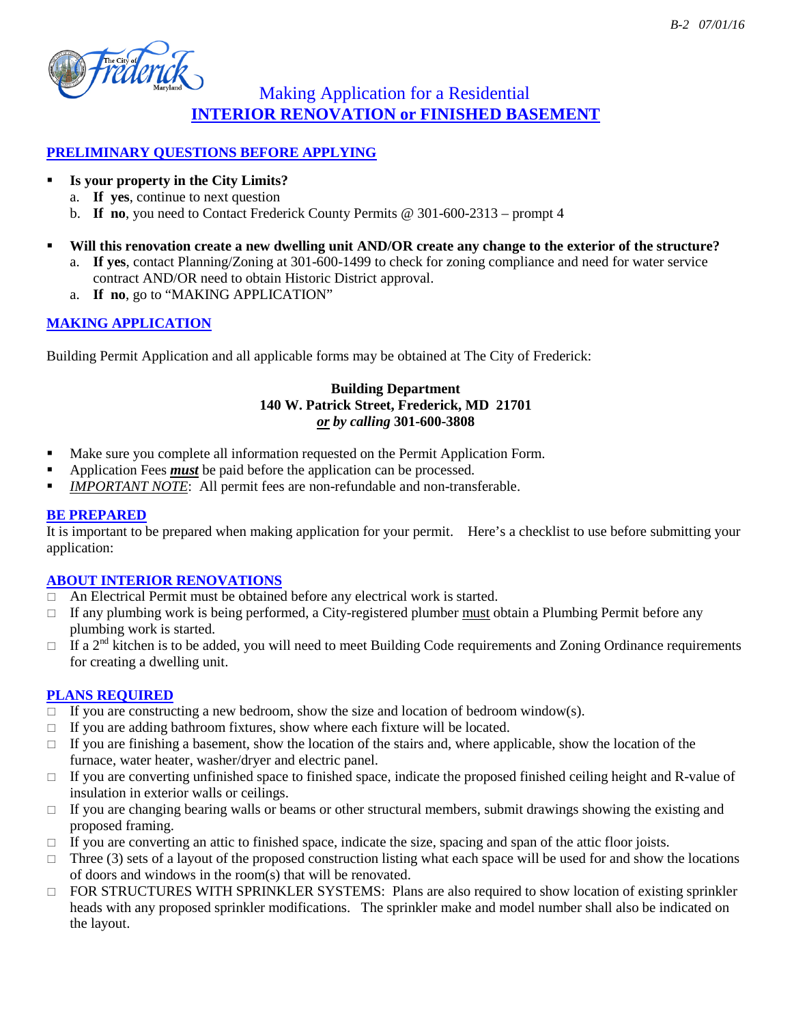

## Making Application for a Residential **INTERIOR RENOVATION or FINISHED BASEMENT**

#### **PRELIMINARY QUESTIONS BEFORE APPLYING**

#### **Is your property in the City Limits?**

- a. **If yes**, continue to next question
- b. **If no**, you need to Contact Frederick County Permits @ 301-600-2313 prompt 4
- **Will this renovation create a new dwelling unit AND/OR create any change to the exterior of the structure?**
	- a. **If yes**, contact Planning/Zoning at 301-600-1499 to check for zoning compliance and need for water service contract AND/OR need to obtain Historic District approval.
	- a. **If no**, go to "MAKING APPLICATION"

### **MAKING APPLICATION**

Building Permit Application and all applicable forms may be obtained at The City of Frederick:

#### **Building Department 140 W. Patrick Street, Frederick, MD 21701**  *or by calling* **301-600-3808**

- **Make sure you complete all information requested on the Permit Application Form.**
- Application Fees *must* be paid before the application can be processed.
- *IMPORTANT NOTE*: All permit fees are non-refundable and non-transferable.

#### **BE PREPARED**

It is important to be prepared when making application for your permit. Here's a checklist to use before submitting your application:

#### **ABOUT INTERIOR RENOVATIONS**

- An Electrical Permit must be obtained before any electrical work is started.
- $\Box$  If any plumbing work is being performed, a City-registered plumber must obtain a Plumbing Permit before any plumbing work is started.
- $\Box$  If a 2<sup>nd</sup> kitchen is to be added, you will need to meet Building Code requirements and Zoning Ordinance requirements for creating a dwelling unit.

#### **PLANS REQUIRED**

- $\Box$  If you are constructing a new bedroom, show the size and location of bedroom window(s).
- $\Box$  If you are adding bathroom fixtures, show where each fixture will be located.
- $\Box$  If you are finishing a basement, show the location of the stairs and, where applicable, show the location of the furnace, water heater, washer/dryer and electric panel.
- $\Box$  If you are converting unfinished space to finished space, indicate the proposed finished ceiling height and R-value of insulation in exterior walls or ceilings.
- $\Box$  If you are changing bearing walls or beams or other structural members, submit drawings showing the existing and proposed framing.
- $\Box$  If you are converting an attic to finished space, indicate the size, spacing and span of the attic floor joists.
- $\Box$  Three (3) sets of a layout of the proposed construction listing what each space will be used for and show the locations of doors and windows in the room(s) that will be renovated.
- $\Box$  FOR STRUCTURES WITH SPRINKLER SYSTEMS: Plans are also required to show location of existing sprinkler heads with any proposed sprinkler modifications. The sprinkler make and model number shall also be indicated on the layout.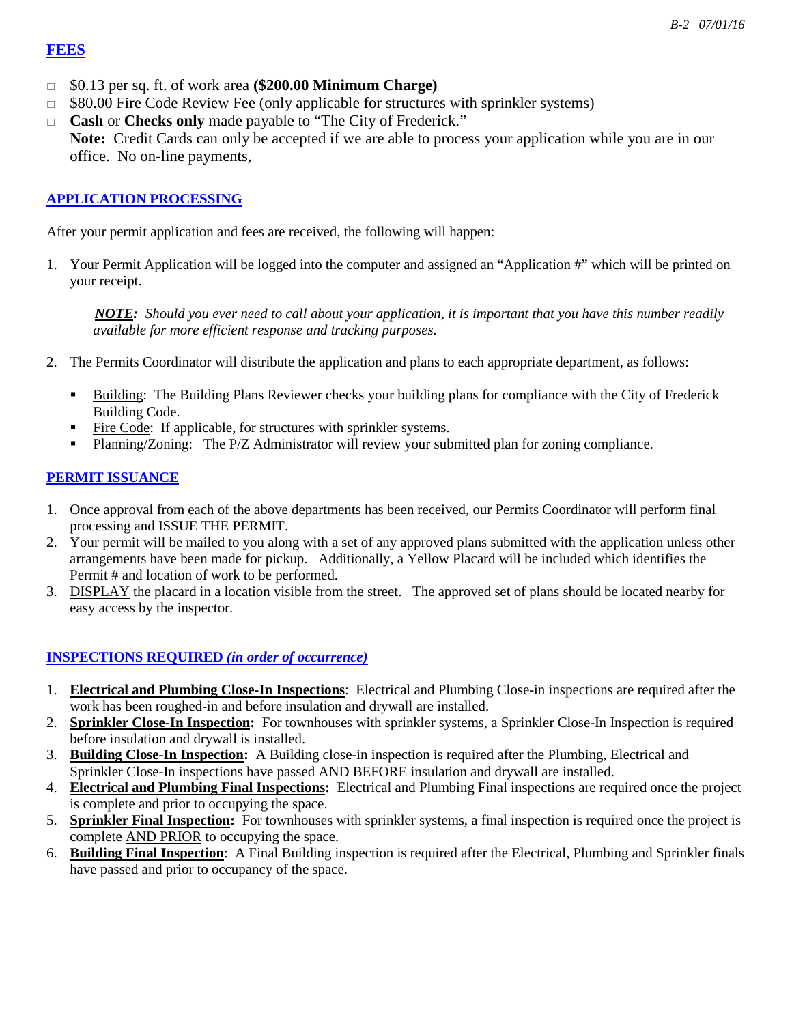#### **FEES**

- \$0.13 per sq. ft. of work area **(\$200.00 Minimum Charge)**
- $\Box$  \$80.00 Fire Code Review Fee (only applicable for structures with sprinkler systems)
- **Cash** or **Checks only** made payable to "The City of Frederick." **Note:** Credit Cards can only be accepted if we are able to process your application while you are in our office. No on-line payments,

#### **APPLICATION PROCESSING**

After your permit application and fees are received, the following will happen:

1. Your Permit Application will be logged into the computer and assigned an "Application #" which will be printed on your receipt.

 *NOTE: Should you ever need to call about your application, it is important that you have this number readily available for more efficient response and tracking purposes.*

- 2. The Permits Coordinator will distribute the application and plans to each appropriate department, as follows:
	- Building: The Building Plans Reviewer checks your building plans for compliance with the City of Frederick Building Code.
	- Fire Code: If applicable, for structures with sprinkler systems.
	- Planning/Zoning: The P/Z Administrator will review your submitted plan for zoning compliance.

#### **PERMIT ISSUANCE**

- 1. Once approval from each of the above departments has been received, our Permits Coordinator will perform final processing and ISSUE THE PERMIT.
- 2. Your permit will be mailed to you along with a set of any approved plans submitted with the application unless other arrangements have been made for pickup. Additionally, a Yellow Placard will be included which identifies the Permit # and location of work to be performed.
- 3. DISPLAY the placard in a location visible from the street. The approved set of plans should be located nearby for easy access by the inspector.

### **INSPECTIONS REQUIRED** *(in order of occurrence)*

- 1. **Electrical and Plumbing Close-In Inspections**: Electrical and Plumbing Close-in inspections are required after the work has been roughed-in and before insulation and drywall are installed.
- 2. **Sprinkler Close-In Inspection:** For townhouses with sprinkler systems, a Sprinkler Close-In Inspection is required before insulation and drywall is installed.
- 3. **Building Close-In Inspection:** A Building close-in inspection is required after the Plumbing, Electrical and Sprinkler Close-In inspections have passed AND BEFORE insulation and drywall are installed.
- 4. **Electrical and Plumbing Final Inspections:** Electrical and Plumbing Final inspections are required once the project is complete and prior to occupying the space.
- 5. **Sprinkler Final Inspection:** For townhouses with sprinkler systems, a final inspection is required once the project is complete AND PRIOR to occupying the space.
- 6. **Building Final Inspection**: A Final Building inspection is required after the Electrical, Plumbing and Sprinkler finals have passed and prior to occupancy of the space.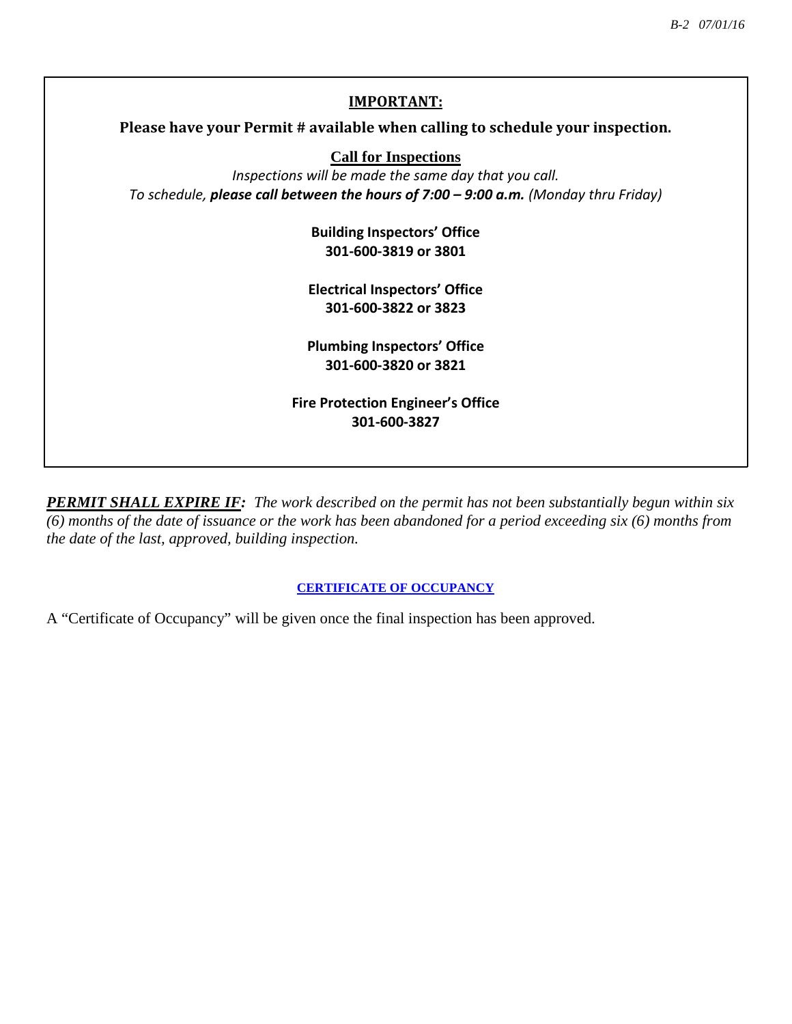# **IMPORTANT: Please have your Permit # available when calling to schedule your inspection. Call for Inspections** *Inspections will be made the same day that you call. To schedule, please call between the hours of 7:00 – 9:00 a.m. (Monday thru Friday)* **Building Inspectors' Office 301-600-3819 or 3801 Electrical Inspectors' Office 301-600-3822 or 3823 Plumbing Inspectors' Office 301-600-3820 or 3821**

*PERMIT SHALL EXPIRE IF: The work described on the permit has not been substantially begun within six (6) months of the date of issuance or the work has been abandoned for a period exceeding six (6) months from the date of the last, approved, building inspection.* 

**Fire Protection Engineer's Office 301-600-3827**

### **CERTIFICATE OF OCCUPANCY**

A "Certificate of Occupancy" will be given once the final inspection has been approved.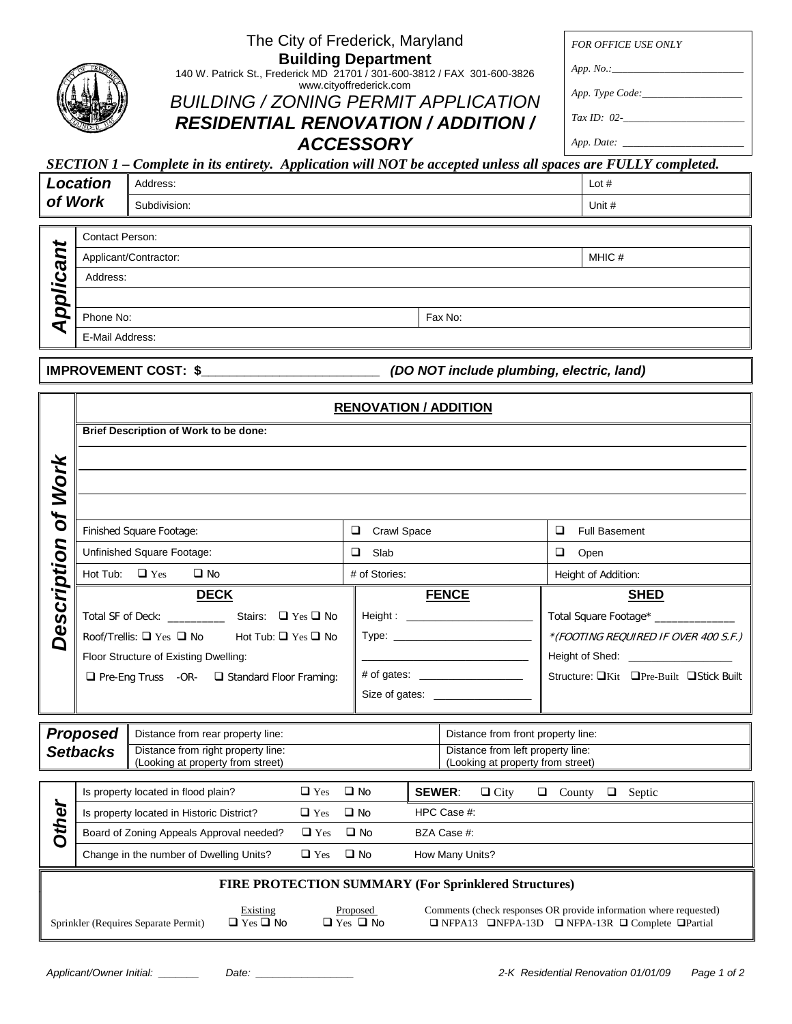| The City of Frederick, Maryland<br>FOR OFFICE USE ONLY                                                                                         |                 |
|------------------------------------------------------------------------------------------------------------------------------------------------|-----------------|
| <b>Building Department</b>                                                                                                                     |                 |
| App. No. :<br>140 W. Patrick St., Frederick MD 21701 / 301-600-3812 / FAX 301-600-3826<br>www.cityoffrederick.com                              |                 |
| <b>BUILDING / ZONING PERMIT APPLICATION</b>                                                                                                    | App. Type Code: |
| Tax ID: $02$ -<br><b>RESIDENTIAL RENOVATION / ADDITION /</b>                                                                                   |                 |
|                                                                                                                                                |                 |
| <b>ACCESSORY</b><br>App. Date: _____________<br>Lete in its entirety. Application will NOT be generated upless all spaces are FHILEV completed |                 |

# *SECTION 1 – Complete in its entirety. Application will NOT be accepted unless all spaces are FULLY completed.*

| Location<br>of Work |         |                       | Address:<br>Subdivision: | Lot $#$<br>Unit # |        |
|---------------------|---------|-----------------------|--------------------------|-------------------|--------|
|                     |         |                       |                          |                   |        |
|                     | ₩       | Contact Person:       |                          |                   |        |
|                     | 冖       | Applicant/Contractor: |                          |                   | MHIC # |
| Address:            |         |                       |                          |                   |        |
|                     | pplicar |                       |                          |                   |        |
|                     | q       | Phone No:             |                          | Fax No:           |        |
|                     |         | .                     |                          |                   |        |

E-Mail Address:

**IMPROVEMENT COST: \$\_\_\_\_\_\_\_\_\_\_\_\_\_\_\_\_\_\_\_\_\_\_\_\_\_** *(DO NOT include plumbing, electric, land)*

|              | <b>RENOVATION / ADDITION</b>          |                                                                                  |               |                              |                                                                        |                                         |
|--------------|---------------------------------------|----------------------------------------------------------------------------------|---------------|------------------------------|------------------------------------------------------------------------|-----------------------------------------|
|              | Brief Description of Work to be done: |                                                                                  |               |                              |                                                                        |                                         |
|              |                                       |                                                                                  |               |                              |                                                                        |                                         |
| <b>Work</b>  |                                       |                                                                                  |               |                              |                                                                        |                                         |
|              |                                       |                                                                                  |               |                              |                                                                        |                                         |
| ðf           |                                       | Finished Square Footage:                                                         |               | $\Box$<br><b>Crawl Space</b> |                                                                        | $\Box$<br><b>Full Basement</b>          |
|              |                                       | Unfinished Square Footage:                                                       |               | $\Box$ Slab                  |                                                                        | $\Box$<br>Open                          |
| Description  | Hot Tub: $\Box$ Yes<br>$\square$ No   |                                                                                  | # of Stories: |                              |                                                                        | Height of Addition:                     |
|              |                                       | <b>DECK</b>                                                                      |               |                              | <b>FENCE</b>                                                           | <b>SHED</b>                             |
|              |                                       | Total SF of Deck: ________________ Stairs: □ Yes □ No                            |               |                              |                                                                        | Total Square Footage* _____________     |
|              |                                       | Roof/Trellis: $\Box$ Yes $\Box$ No Hot Tub: $\Box$ Yes $\Box$ No                 |               |                              |                                                                        | *(FOOTING REQUIRED IF OVER 400 S.F.)    |
|              |                                       | Floor Structure of Existing Dwelling:                                            |               |                              |                                                                        | Height of Shed: ____________________    |
|              |                                       | $\Box$ Pre-Eng Truss -OR- $\Box$ Standard Floor Framing:                         |               |                              |                                                                        | Structure: □Kit □Pre-Built □Stick Built |
|              |                                       |                                                                                  |               |                              |                                                                        |                                         |
|              |                                       |                                                                                  |               |                              |                                                                        |                                         |
|              | <b>Proposed</b>                       | Distance from rear property line:                                                |               |                              | Distance from front property line:                                     |                                         |
|              | <b>Setbacks</b>                       | Distance from right property line:<br>(Looking at property from street)          |               |                              | Distance from left property line:<br>(Looking at property from street) |                                         |
|              |                                       |                                                                                  |               |                              |                                                                        |                                         |
|              |                                       | $\Box$ Yes $\Box$ No<br>Is property located in flood plain?                      |               |                              | <b>SEWER:</b><br>$\Box$ City                                           | $\Box$ County $\Box$ Septic             |
| <b>Other</b> |                                       | Is property located in Historic District?<br>$\Box$ Yes $\Box$ No<br>HPC Case #: |               |                              |                                                                        |                                         |
|              |                                       | $\Box$ Yes $\Box$ No<br>Board of Zoning Appeals Approval needed?                 |               |                              | BZA Case #:                                                            |                                         |

## Change in the number of Dwelling Units?  $\Box$  Yes  $\Box$  No How Many Units? **FIRE PROTECTION SUMMARY (For Sprinklered Structures)** Existing Proposed Comments (check responses OR provide information where requested)<br>  $\Box$  Yes  $\Box$  No  $\Box$  Yes  $\Box$  No  $\Box$  NFPA-13D  $\Box$  NFPA-13R  $\Box$  Complete  $\Box$  Partial Sprinkler (Requires Separate Permit) Q Yes Q Yes Q No Q NFPA-13D Q NFPA-13R Q Complete Q Partial